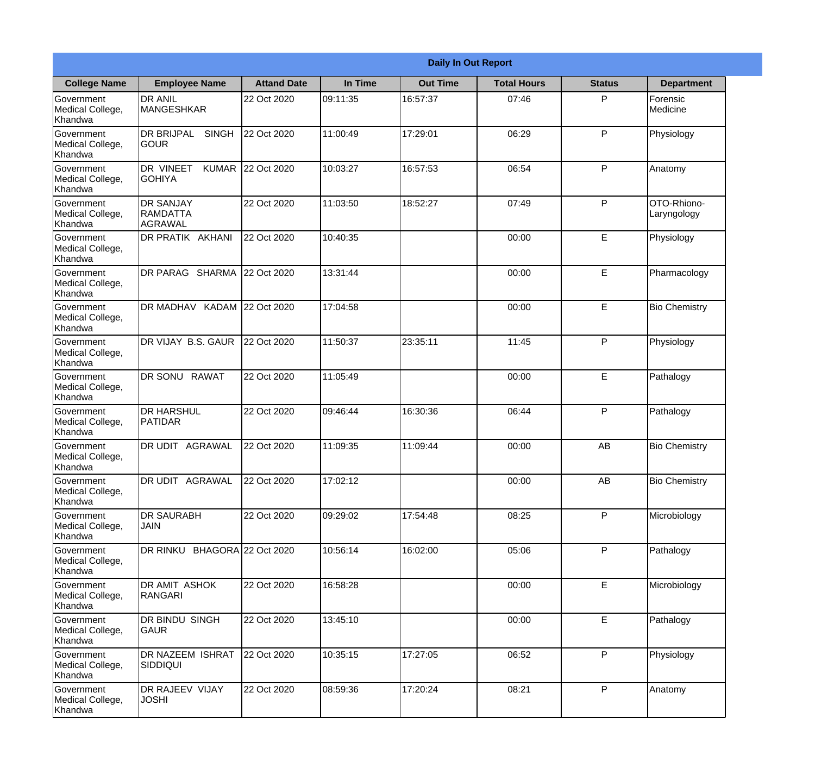|                                                  |                                                   |                    |          | <b>Daily In Out Report</b> |                    |               |                            |
|--------------------------------------------------|---------------------------------------------------|--------------------|----------|----------------------------|--------------------|---------------|----------------------------|
| <b>College Name</b>                              | <b>Employee Name</b>                              | <b>Attand Date</b> | In Time  | <b>Out Time</b>            | <b>Total Hours</b> | <b>Status</b> | <b>Department</b>          |
| Government<br>Medical College,<br>Khandwa        | <b>DR ANIL</b><br><b>MANGESHKAR</b>               | 22 Oct 2020        | 09:11:35 | 16:57:37                   | 07:46              | P             | Forensic<br>Medicine       |
| Government<br>Medical College,<br>Khandwa        | <b>DR BRIJPAL</b><br><b>SINGH</b><br> GOUR        | 22 Oct 2020        | 11:00:49 | 17:29:01                   | 06:29              | P             | Physiology                 |
| <b>Government</b><br>Medical College,<br>Khandwa | <b>DR VINEET</b><br><b>KUMAR</b><br><b>GOHIYA</b> | 22 Oct 2020        | 10:03:27 | 16:57:53                   | 06:54              | P             | Anatomy                    |
| <b>Government</b><br>Medical College,<br>Khandwa | <b>DR SANJAY</b><br>RAMDATTA<br><b>AGRAWAL</b>    | 22 Oct 2020        | 11:03:50 | 18:52:27                   | 07:49              | P             | OTO-Rhiono-<br>Laryngology |
| Government<br>Medical College,<br>Khandwa        | <b>DR PRATIK AKHANI</b>                           | 22 Oct 2020        | 10:40:35 |                            | 00:00              | E             | Physiology                 |
| Government<br>Medical College,<br>Khandwa        | DR PARAG SHARMA                                   | 22 Oct 2020        | 13:31:44 |                            | 00:00              | E             | Pharmacology               |
| <b>Government</b><br>Medical College,<br>Khandwa | DR MADHAV KADAM 22 Oct 2020                       |                    | 17:04:58 |                            | 00:00              | E             | <b>Bio Chemistry</b>       |
| <b>Government</b><br>Medical College,<br>Khandwa | DR VIJAY B.S. GAUR                                | 22 Oct 2020        | 11:50:37 | 23:35:11                   | 11:45              | P             | Physiology                 |
| Government<br>Medical College,<br>Khandwa        | DR SONU<br><b>RAWAT</b>                           | 22 Oct 2020        | 11:05:49 |                            | 00:00              | E             | Pathalogy                  |
| Government<br>Medical College,<br>Khandwa        | <b>DR HARSHUL</b><br>PATIDAR                      | 22 Oct 2020        | 09:46:44 | 16:30:36                   | 06:44              | P             | Pathalogy                  |
| Government<br>Medical College,<br>Khandwa        | IDR UDIT<br><b>AGRAWAL</b>                        | 22 Oct 2020        | 11:09:35 | 11:09:44                   | 00:00              | AB            | <b>Bio Chemistry</b>       |
| Government<br>Medical College,<br>Khandwa        | <b>DR UDIT AGRAWAL</b>                            | 22 Oct 2020        | 17:02:12 |                            | 00:00              | AB            | <b>Bio Chemistry</b>       |
| Government<br>Medical College,<br>Khandwa        | <b>DR SAURABH</b><br><b>JAIN</b>                  | 22 Oct 2020        | 09:29:02 | 17:54:48                   | 08:25              | P             | Microbiology               |
| Government<br>Medical College,<br>Khandwa        | DR RINKU BHAGORA 22 Oct 2020                      |                    | 10:56:14 | 16:02:00                   | 05:06              | P             | Pathalogy                  |
| Government<br>Medical College,<br>Khandwa        | DR AMIT ASHOK<br>RANGARI                          | 22 Oct 2020        | 16:58:28 |                            | 00:00              | E             | Microbiology               |
| Government<br>Medical College,<br>Khandwa        | DR BINDU SINGH<br><b>GAUR</b>                     | 22 Oct 2020        | 13:45:10 |                            | 00:00              | E             | Pathalogy                  |
| Government<br>Medical College,<br>Khandwa        | <b>DR NAZEEM ISHRAT</b><br><b>SIDDIQUI</b>        | 22 Oct 2020        | 10:35:15 | 17:27:05                   | 06:52              | P             | Physiology                 |
| Government<br>Medical College,<br>Khandwa        | <b>DR RAJEEV VIJAY</b><br><b>JOSHI</b>            | 22 Oct 2020        | 08:59:36 | 17:20:24                   | 08:21              | P             | Anatomy                    |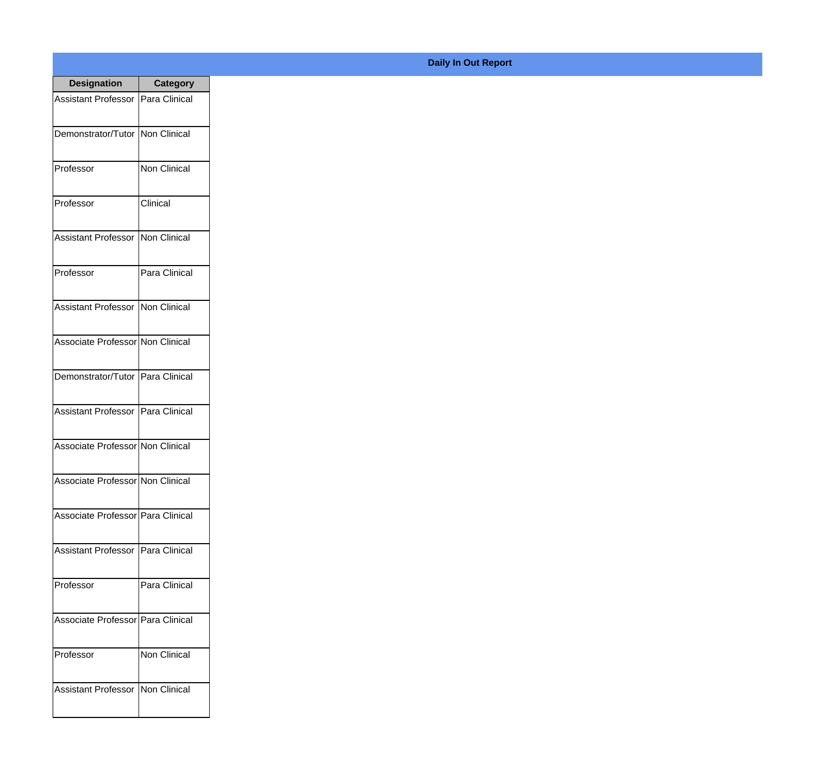| <b>Designation</b>                  | <b>Category</b>     |
|-------------------------------------|---------------------|
| Assistant Professor   Para Clinical |                     |
| Demonstrator/Tutor   Non Clinical   |                     |
| Professor                           | Non Clinical        |
| Professor                           | Clinical            |
| <b>Assistant Professor</b>          | Non Clinical        |
| Professor                           | Para Clinical       |
| <b>Assistant Professor</b>          | Non Clinical        |
| Associate Professor Non Clinical    |                     |
| Demonstrator/Tutor   Para Clinical  |                     |
| <b>Assistant Professor</b>          | Para Clinical       |
| Associate Professor Non Clinical    |                     |
| Associate Professor Non Clinical    |                     |
| Associate Professor   Para Clinical |                     |
| Assistant Professor   Para Clinical |                     |
| Professor                           | Para Clinical       |
| Associate Professor   Para Clinical |                     |
| Professor                           | <b>Non Clinical</b> |
| Assistant Professor   Non Clinical  |                     |

## **Daily In Out Report**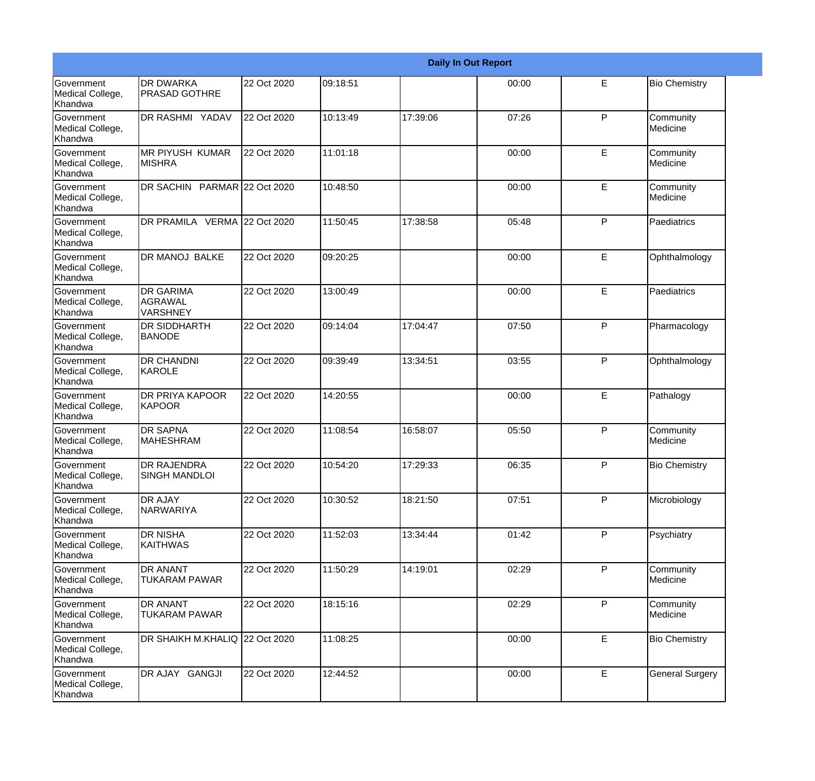|                                                  |                                                |             |          |          | <b>Daily In Out Report</b> |              |                        |
|--------------------------------------------------|------------------------------------------------|-------------|----------|----------|----------------------------|--------------|------------------------|
| Government<br>Medical College,<br>Khandwa        | <b>DR DWARKA</b><br><b>PRASAD GOTHRE</b>       | 22 Oct 2020 | 09:18:51 |          | 00:00                      | E            | <b>Bio Chemistry</b>   |
| <b>Government</b><br>Medical College,<br>Khandwa | <b>DR RASHMI YADAV</b>                         | 22 Oct 2020 | 10:13:49 | 17:39:06 | 07:26                      | P            | Community<br>Medicine  |
| Government<br>Medical College,<br>Khandwa        | <b>MR PIYUSH KUMAR</b><br><b>MISHRA</b>        | 22 Oct 2020 | 11:01:18 |          | 00:00                      | E            | Community<br>Medicine  |
| Government<br>Medical College,<br>Khandwa        | DR SACHIN PARMAR 22 Oct 2020                   |             | 10:48:50 |          | 00:00                      | E            | Community<br>Medicine  |
| Government<br>Medical College,<br>Khandwa        | DR PRAMILA VERMA 22 Oct 2020                   |             | 11:50:45 | 17:38:58 | 05:48                      | P            | Paediatrics            |
| Government<br>Medical College,<br>Khandwa        | <b>DR MANOJ BALKE</b>                          | 22 Oct 2020 | 09:20:25 |          | 00:00                      | E            | Ophthalmology          |
| Government<br>Medical College,<br>Khandwa        | <b>DR GARIMA</b><br>AGRAWAL<br><b>VARSHNEY</b> | 22 Oct 2020 | 13:00:49 |          | 00:00                      | E            | Paediatrics            |
| Government<br>Medical College,<br>Khandwa        | <b>DR SIDDHARTH</b><br><b>BANODE</b>           | 22 Oct 2020 | 09:14:04 | 17:04:47 | 07:50                      | P            | Pharmacology           |
| Government<br>Medical College,<br>Khandwa        | <b>DR CHANDNI</b><br>KAROLE                    | 22 Oct 2020 | 09:39:49 | 13:34:51 | 03:55                      | $\mathsf{P}$ | Ophthalmology          |
| Government<br>Medical College,<br>Khandwa        | <b>DR PRIYA KAPOOR</b><br>KAPOOR               | 22 Oct 2020 | 14:20:55 |          | 00:00                      | E            | Pathalogy              |
| Government<br>Medical College,<br>Khandwa        | <b>DR SAPNA</b><br><b>MAHESHRAM</b>            | 22 Oct 2020 | 11:08:54 | 16:58:07 | 05:50                      | P            | Community<br>Medicine  |
| Government<br>Medical College,<br>Khandwa        | <b>DR RAJENDRA</b><br><b>SINGH MANDLOI</b>     | 22 Oct 2020 | 10:54:20 | 17:29:33 | 06:35                      | P            | <b>Bio Chemistry</b>   |
| Government<br>Medical College,<br>Khandwa        | <b>DR AJAY</b><br><b>NARWARIYA</b>             | 22 Oct 2020 | 10:30:52 | 18:21:50 | 07:51                      | P            | Microbiology           |
| Government<br>Medical College,<br>Khandwa        | <b>DR NISHA</b><br>KAITHWAS                    | 22 Oct 2020 | 11:52:03 | 13:34:44 | 01:42                      | P            | Psychiatry             |
| Government<br>Medical College,<br>Khandwa        | <b>DR ANANT</b><br><b>TUKARAM PAWAR</b>        | 22 Oct 2020 | 11:50:29 | 14:19:01 | 02:29                      | P            | Community<br>Medicine  |
| Government<br>Medical College,<br>Khandwa        | <b>DR ANANT</b><br><b>TUKARAM PAWAR</b>        | 22 Oct 2020 | 18:15:16 |          | 02:29                      | P            | Community<br>Medicine  |
| Government<br>Medical College,<br>Khandwa        | DR SHAIKH M.KHALIQ 22 Oct 2020                 |             | 11:08:25 |          | 00:00                      | E            | <b>Bio Chemistry</b>   |
| Government<br>Medical College,<br>Khandwa        | DR AJAY GANGJI                                 | 22 Oct 2020 | 12:44:52 |          | 00:00                      | E            | <b>General Surgery</b> |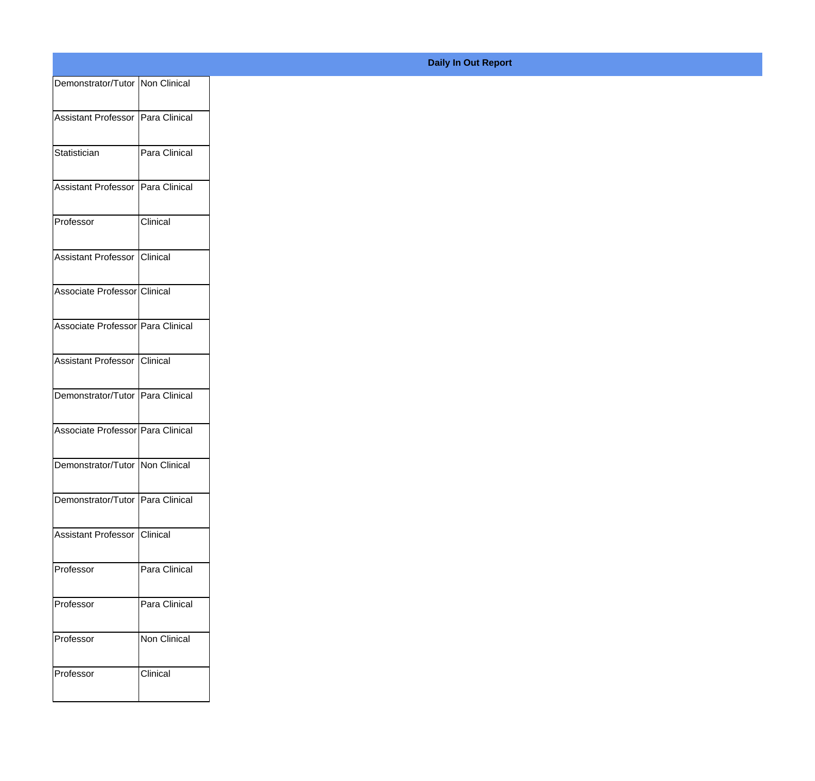| Demonstrator/Tutor Non Clinical   |               |
|-----------------------------------|---------------|
|                                   |               |
| Assistant Professor Para Clinical |               |
| Statistician                      | Para Clinical |
|                                   |               |
| Assistant Professor Para Clinical |               |
| Professor                         | Clinical      |
|                                   |               |
| Assistant Professor Clinical      |               |
| Associate Professor Clinical      |               |
|                                   |               |
| Associate Professor Para Clinical |               |
| Assistant Professor Clinical      |               |
|                                   |               |
| Demonstrator/Tutor Para Clinical  |               |
| Associate Professor Para Clinical |               |
|                                   |               |
| Demonstrator/Tutor   Non Clinical |               |
| Demonstrator/Tutor Para Clinical  |               |
|                                   |               |
| Assistant Professor Clinical      |               |
| Professor                         | Para Clinical |
|                                   |               |
| Professor                         | Para Clinical |
| Professor                         | Non Clinical  |
|                                   |               |
| Professor                         | Clinical      |
|                                   |               |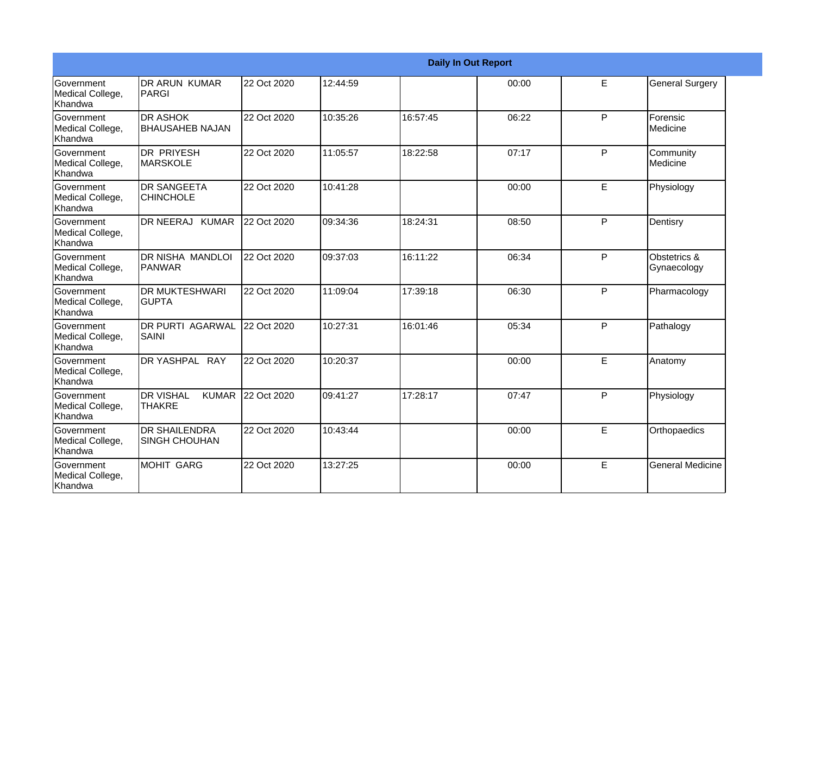|                                           |                                                   |             |          | <b>Daily In Out Report</b> |       |   |                             |
|-------------------------------------------|---------------------------------------------------|-------------|----------|----------------------------|-------|---|-----------------------------|
| Government<br>Medical College,<br>Khandwa | <b>DR ARUN KUMAR</b><br>IPARGI                    | 22 Oct 2020 | 12:44:59 |                            | 00:00 | E | <b>General Surgery</b>      |
| Government<br>Medical College,<br>Khandwa | <b>DR ASHOK</b><br><b>BHAUSAHEB NAJAN</b>         | 22 Oct 2020 | 10:35:26 | 16:57:45                   | 06:22 | P | Forensic<br><b>Medicine</b> |
| Government<br>Medical College,<br>Khandwa | IDR PRIYESH<br><b>MARSKOLE</b>                    | 22 Oct 2020 | 11:05:57 | 18:22:58                   | 07:17 | P | Community<br>Medicine       |
| Government<br>Medical College,<br>Khandwa | <b>DR SANGEETA</b><br><b>CHINCHOLE</b>            | 22 Oct 2020 | 10:41:28 |                            | 00:00 | E | Physiology                  |
| Government<br>Medical College,<br>Khandwa | DR NEERAJ KUMAR                                   | 22 Oct 2020 | 09:34:36 | 18:24:31                   | 08:50 | P | Dentisry                    |
| Government<br>Medical College,<br>Khandwa | DR NISHA MANDLOI<br>PANWAR                        | 22 Oct 2020 | 09:37:03 | 16:11:22                   | 06:34 | P | Obstetrics &<br>Gynaecology |
| Government<br>Medical College,<br>Khandwa | <b>DR MUKTESHWARI</b><br><b>GUPTA</b>             | 22 Oct 2020 | 11:09:04 | 17:39:18                   | 06:30 | P | Pharmacology                |
| Government<br>Medical College,<br>Khandwa | <b>DR PURTI AGARWAL</b><br><b>SAINI</b>           | 22 Oct 2020 | 10:27:31 | 16:01:46                   | 05:34 | P | Pathalogy                   |
| Government<br>Medical College,<br>Khandwa | DR YASHPAL RAY                                    | 22 Oct 2020 | 10:20:37 |                            | 00:00 | E | Anatomy                     |
| Government<br>Medical College,<br>Khandwa | <b>DR VISHAL</b><br><b>KUMAR</b><br><b>THAKRE</b> | 22 Oct 2020 | 09:41:27 | 17:28:17                   | 07:47 | P | Physiology                  |
| Government<br>Medical College,<br>Khandwa | <b>DR SHAILENDRA</b><br><b>SINGH CHOUHAN</b>      | 22 Oct 2020 | 10:43:44 |                            | 00:00 | E | Orthopaedics                |
| Government<br>Medical College,<br>Khandwa | <b>MOHIT GARG</b>                                 | 22 Oct 2020 | 13:27:25 |                            | 00:00 | E | <b>General Medicine</b>     |